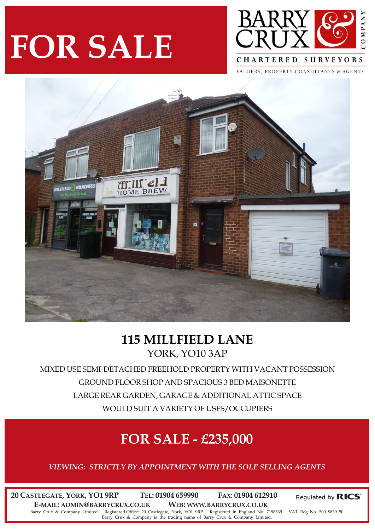# **FOR SALE**



VALUERS, PROPERTY CONSULTANTS & AGENTS



### **115 MILLFIELD LANE** YORK, YO10 3AP

MIXED USE SEMI-DETACHED FREEHOLD PROPERTY WITH VACANT POSSESSION GROUND FLOOR SHOP AND SPACIOUS 3 BED MAISONETTE LARGE REAR GARDEN, GARAGE & ADDITIONAL ATTIC SPACE WOULD SUIT A VARIETY OF USES/OCCUPIERS

## **FOR SALE - £235,000**

*VIEWING: STRICTLY BY APPOINTMENT WITH THE SOLE SELLING AGENTS*

**20 CASTLEGATE, YORK, YO1 9RP TEL: 01904 659990 FAX: 01904 612910 E-MAIL: ADMIN@BARRYCRUX.CO.UK WEB: WWW.BARRYCRUX.CO.UK** Barry Crux & Company Limited Registered Office: 20 Castlegate, York, YO1 9RP Registered in England No. 7198539 VAT Reg No. 500 9839 50 Barry Crux & Company is the trading name of Barry Crux & Company Limited.

Regulated by RICS®